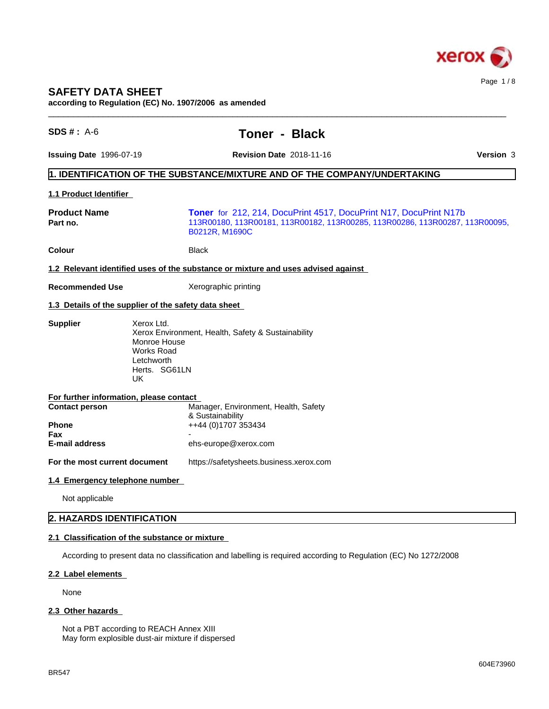

# **SAFETY DATA SHEET**

**according to Regulation (EC) No. 1907/2006 as amended**

| $SDS #: A-6$                                   | <b>Toner - Black</b>                                                                                                                                                |  |
|------------------------------------------------|---------------------------------------------------------------------------------------------------------------------------------------------------------------------|--|
| <b>Issuing Date 1996-07-19</b>                 | Version 3<br><b>Revision Date 2018-11-16</b>                                                                                                                        |  |
|                                                | 1. IDENTIFICATION OF THE SUBSTANCE/MIXTURE AND OF THE COMPANY/UNDERTAKING                                                                                           |  |
| 1.1 Product Identifier                         |                                                                                                                                                                     |  |
| <b>Product Name</b><br>Part no.                | Toner for 212, 214, DocuPrint 4517, DocuPrint N17, DocuPrint N17b<br>113R00180, 113R00181, 113R00182, 113R00285, 113R00286, 113R00287, 113R00095,<br>B0212R, M1690C |  |
| Colour                                         | <b>Black</b>                                                                                                                                                        |  |
|                                                | 1.2 Relevant identified uses of the substance or mixture and uses advised against                                                                                   |  |
| <b>Recommended Use</b>                         | Xerographic printing                                                                                                                                                |  |
|                                                | 1.3 Details of the supplier of the safety data sheet                                                                                                                |  |
| <b>Supplier</b>                                | Xerox Environment, Health, Safety & Sustainability<br>Monroe House<br><b>Works Road</b><br>Letchworth<br>Herts. SG61LN<br>UK.                                       |  |
| For further information, please contact        |                                                                                                                                                                     |  |
| <b>Contact person</b><br><b>Phone</b><br>Fax   | Manager, Environment, Health, Safety<br>& Sustainability<br>++44 (0)1707 353434                                                                                     |  |
| E-mail address                                 | ehs-europe@xerox.com                                                                                                                                                |  |
| For the most current document                  | https://safetysheets.business.xerox.com                                                                                                                             |  |
| 1.4 Emergency telephone number                 |                                                                                                                                                                     |  |
| Not applicable                                 |                                                                                                                                                                     |  |
| 2. HAZARDS IDENTIFICATION                      |                                                                                                                                                                     |  |
| 2.1 Classification of the substance or mixture |                                                                                                                                                                     |  |
|                                                | According to present data no classification and labelling is required according to Regulation (EC) No 1272/2008                                                     |  |
| 2.2 Label elements                             |                                                                                                                                                                     |  |
| None                                           |                                                                                                                                                                     |  |

## 2.3 Other hazards

Not a PBT according to REACH Annex XIII May form explosible dust-air mixture if dispersed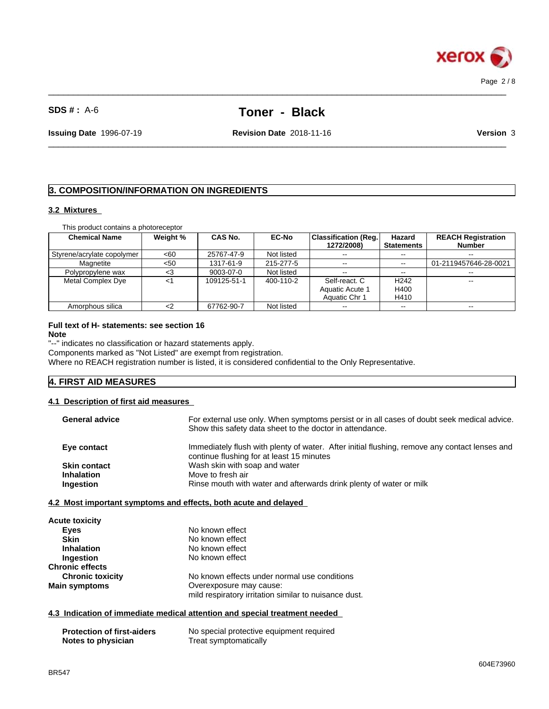

 $\_$  ,  $\_$  ,  $\_$  ,  $\_$  ,  $\_$  ,  $\_$  ,  $\_$  ,  $\_$  ,  $\_$  ,  $\_$  ,  $\_$  ,  $\_$  ,  $\_$  ,  $\_$  ,  $\_$  ,  $\_$  ,  $\_$  ,  $\_$  ,  $\_$  ,  $\_$  ,  $\_$  ,  $\_$  ,  $\_$  ,  $\_$  ,  $\_$  ,  $\_$  ,  $\_$  ,  $\_$  ,  $\_$  ,  $\_$  ,  $\_$  ,  $\_$  ,  $\_$  ,  $\_$  ,  $\_$  ,  $\_$  ,  $\_$  ,

 $\_$  ,  $\_$  ,  $\_$  ,  $\_$  ,  $\_$  ,  $\_$  ,  $\_$  ,  $\_$  ,  $\_$  ,  $\_$  ,  $\_$  ,  $\_$  ,  $\_$  ,  $\_$  ,  $\_$  ,  $\_$  ,  $\_$  ,  $\_$  ,  $\_$  ,  $\_$  ,  $\_$  ,  $\_$  ,  $\_$  ,  $\_$  ,  $\_$  ,  $\_$  ,  $\_$  ,  $\_$  ,  $\_$  ,  $\_$  ,  $\_$  ,  $\_$  ,  $\_$  ,  $\_$  ,  $\_$  ,  $\_$  ,  $\_$  ,

**Issuing Date** 1996-07-19 **Revision Date** 2018-11-16 **Version** 3

## **3. COMPOSITION/INFORMATION ON INGREDIENTS**

#### **3.2 Mixtures**

| This product contains a photoreceptor |  |
|---------------------------------------|--|
|---------------------------------------|--|

| <b>Chemical Name</b>       | Weight % | CAS No.     | <b>EC-No</b> | <b>Classification (Reg.)</b> | Hazard            | <b>REACH Registration</b> |
|----------------------------|----------|-------------|--------------|------------------------------|-------------------|---------------------------|
|                            |          |             |              | 1272/2008)                   | <b>Statements</b> | <b>Number</b>             |
| Styrene/acrylate copolymer | <60      | 25767-47-9  | Not listed   |                              | $- -$             | $\overline{\phantom{a}}$  |
| Magnetite                  | $50$     | 1317-61-9   | 215-277-5    | $\sim$ $\sim$                | $- -$             | 01-2119457646-28-0021     |
| Polypropylene wax          | <.       | 9003-07-0   | Not listed   | $\sim$ $\sim$                | $- -$             | $\sim$                    |
| Metal Complex Dye          | $\,<\,$  | 109125-51-1 | 400-110-2    | Self-react. C                | H <sub>242</sub>  | $\sim$                    |
|                            |          |             |              | Aquatic Acute 1              | H400              |                           |
|                            |          |             |              | Aquatic Chr 1                | H410              |                           |
| Amorphous silica           |          | 67762-90-7  | Not listed   | $\sim$ $\sim$                | $- -$             | $\sim$ $\sim$             |

#### **Full text of H- statements: see section 16 Note**

"--" indicates no classification or hazard statements apply.

Components marked as "Not Listed" are exempt from registration.

Where no REACH registration number is listed, it is considered confidential to the Only Representative.

## **4. FIRST AID MEASURES**

#### **4.1 Description of first aid measures**

| <b>General advice</b>                | For external use only. When symptoms persist or in all cases of doubt seek medical advice.<br>Show this safety data sheet to the doctor in attendance. |
|--------------------------------------|--------------------------------------------------------------------------------------------------------------------------------------------------------|
| Eye contact                          | Immediately flush with plenty of water. After initial flushing, remove any contact lenses and                                                          |
|                                      | continue flushing for at least 15 minutes                                                                                                              |
| <b>Skin contact</b>                  | Wash skin with soap and water                                                                                                                          |
| <b>Inhalation</b>                    | Move to fresh air                                                                                                                                      |
| Ingestion                            | Rinse mouth with water and afterwards drink plenty of water or milk                                                                                    |
|                                      |                                                                                                                                                        |
|                                      | 4.2 Most important symptoms and effects, both acute and delayed                                                                                        |
| <b>Acute toxicity</b><br><b>Eyes</b> | No known effect                                                                                                                                        |
| <b>Skin</b>                          | No known effect                                                                                                                                        |
| <b>Inhalation</b>                    | No known effect                                                                                                                                        |
| Ingestion                            | No known effect                                                                                                                                        |

| <b>Chronic toxicity</b> | No known effects under normal use conditions          |
|-------------------------|-------------------------------------------------------|
| Main symptoms           | Overexposure may cause:                               |
|                         | mild respiratory irritation similar to nuisance dust. |

#### **4.3 Indication of immediate medical attention and special treatment needed**

| <b>Protection of first-aiders</b> | No special protective equipment required |
|-----------------------------------|------------------------------------------|
| Notes to physician                | Treat symptomatically                    |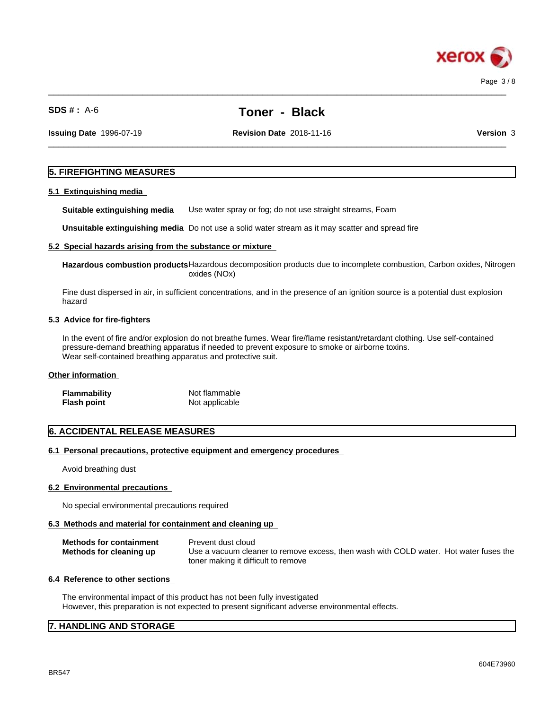

 $\_$  ,  $\_$  ,  $\_$  ,  $\_$  ,  $\_$  ,  $\_$  ,  $\_$  ,  $\_$  ,  $\_$  ,  $\_$  ,  $\_$  ,  $\_$  ,  $\_$  ,  $\_$  ,  $\_$  ,  $\_$  ,  $\_$  ,  $\_$  ,  $\_$  ,  $\_$  ,  $\_$  ,  $\_$  ,  $\_$  ,  $\_$  ,  $\_$  ,  $\_$  ,  $\_$  ,  $\_$  ,  $\_$  ,  $\_$  ,  $\_$  ,  $\_$  ,  $\_$  ,  $\_$  ,  $\_$  ,  $\_$  ,  $\_$  ,

**Issuing Date** 1996-07-19 **Revision Date** 2018-11-16 **Version** 3

 $\_$  ,  $\_$  ,  $\_$  ,  $\_$  ,  $\_$  ,  $\_$  ,  $\_$  ,  $\_$  ,  $\_$  ,  $\_$  ,  $\_$  ,  $\_$  ,  $\_$  ,  $\_$  ,  $\_$  ,  $\_$  ,  $\_$  ,  $\_$  ,  $\_$  ,  $\_$  ,  $\_$  ,  $\_$  ,  $\_$  ,  $\_$  ,  $\_$  ,  $\_$  ,  $\_$  ,  $\_$  ,  $\_$  ,  $\_$  ,  $\_$  ,  $\_$  ,  $\_$  ,  $\_$  ,  $\_$  ,  $\_$  ,  $\_$  ,

## **5. FIREFIGHTING MEASURES**

#### **5.1 Extinguishing media**

**Suitable extinguishing media** Use water spray or fog; do not use straight streams, Foam

**Unsuitable extinguishing media** Do not use a solid water stream as it may scatterand spread fire

## **5.2 Special hazards arising from the substance or mixture**

**Hazardous combustion products**Hazardous decomposition products due to incomplete combustion, Carbon oxides, Nitrogen oxides (NOx)

Fine dust dispersed in air, in sufficient concentrations, and in the presence of an ignition source is a potential dust explosion hazard

### **5.3 Advice for fire-fighters**

In the event of fire and/or explosion do not breathe fumes. Wear fire/flame resistant/retardant clothing. Use self-contained pressure-demand breathing apparatus if needed to prevent exposure to smoke or airborne toxins. Wear self-contained breathing apparatus and protective suit.

#### **Other information**

| <b>Flammability</b> | Not flammable  |
|---------------------|----------------|
| <b>Flash point</b>  | Not applicable |

## **6. ACCIDENTAL RELEASE MEASURES**

#### **6.1 Personal precautions, protective equipment and emergency procedures**

Avoid breathing dust

#### **6.2 Environmental precautions**

No special environmental precautions required

## **6.3 Methods and material for containment and cleaning up**

| <b>Methods for containment</b> | Prevent dust cloud                                                                    |
|--------------------------------|---------------------------------------------------------------------------------------|
| Methods for cleaning up        | Use a vacuum cleaner to remove excess, then wash with COLD water. Hot water fuses the |
|                                | toner making it difficult to remove                                                   |

#### **6.4 Reference to other sections**

The environmental impact of this product has not been fully investigated However, this preparation is not expected to present significant adverse environmental effects.

## **7. HANDLING AND STORAGE**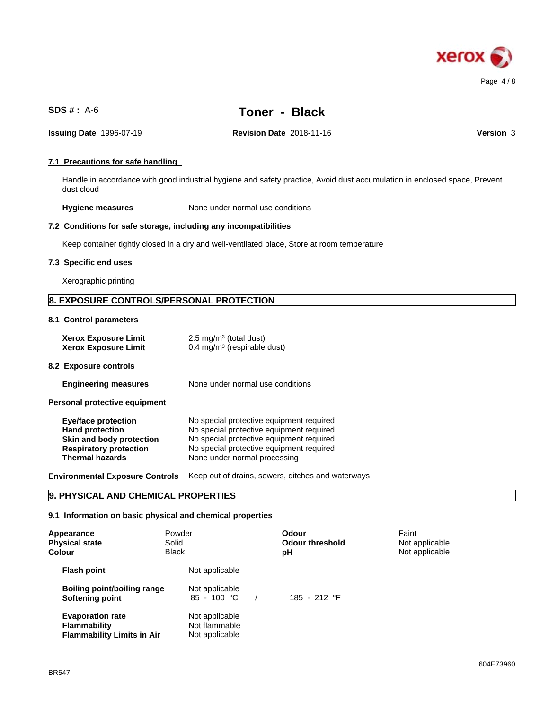

 $\_$  ,  $\_$  ,  $\_$  ,  $\_$  ,  $\_$  ,  $\_$  ,  $\_$  ,  $\_$  ,  $\_$  ,  $\_$  ,  $\_$  ,  $\_$  ,  $\_$  ,  $\_$  ,  $\_$  ,  $\_$  ,  $\_$  ,  $\_$  ,  $\_$  ,  $\_$  ,  $\_$  ,  $\_$  ,  $\_$  ,  $\_$  ,  $\_$  ,  $\_$  ,  $\_$  ,  $\_$  ,  $\_$  ,  $\_$  ,  $\_$  ,  $\_$  ,  $\_$  ,  $\_$  ,  $\_$  ,  $\_$  ,  $\_$  ,

 $\_$  ,  $\_$  ,  $\_$  ,  $\_$  ,  $\_$  ,  $\_$  ,  $\_$  ,  $\_$  ,  $\_$  ,  $\_$  ,  $\_$  ,  $\_$  ,  $\_$  ,  $\_$  ,  $\_$  ,  $\_$  ,  $\_$  ,  $\_$  ,  $\_$  ,  $\_$  ,  $\_$  ,  $\_$  ,  $\_$  ,  $\_$  ,  $\_$  ,  $\_$  ,  $\_$  ,  $\_$  ,  $\_$  ,  $\_$  ,  $\_$  ,  $\_$  ,  $\_$  ,  $\_$  ,  $\_$  ,  $\_$  ,  $\_$  ,

**Issuing Date** 1996-07-19 **Revision Date** 2018-11-16 **Version** 3

## **7.1 Precautions for safe handling**

Handle in accordance with good industrial hygiene and safety practice, Avoid dust accumulation in enclosed space, Prevent dust cloud

**Hygiene measures** None under normal use conditions

## **7.2 Conditions for safe storage, including any incompatibilities**

Keep container tightly closed in a dry and well-ventilated place, Store at room temperature

#### **7.3 Specific end uses**

Xerographic printing

## **8. EXPOSURE CONTROLS/PERSONAL PROTECTION**

## **8.1 Control parameters**

| <b>Xerox Exposure Limit</b> | $2.5 \text{ mg/m}^3$ (total dust)      |
|-----------------------------|----------------------------------------|
| <b>Xerox Exposure Limit</b> | $0.4 \text{ mg/m}^3$ (respirable dust) |

#### **8.2 Exposure controls**

**Engineering measures** None under normal use conditions

**Personal protective equipment**

| No special protective equipment required |
|------------------------------------------|
| No special protective equipment required |
| No special protective equipment required |
| No special protective equipment required |
| None under normal processing             |
|                                          |

**Environmental Exposure Controls** Keep out of drains, sewers, ditches and waterways

## **9. PHYSICAL AND CHEMICAL PROPERTIES**

#### **9.1 Information on basic physical and chemical properties**

| Appearance<br><b>Physical state</b><br>Colour                                       | Powder<br>Solid<br><b>Black</b>                   | <b>Odour</b><br>Odour threshold<br>рH | Faint<br>Not applicable<br>Not applicable |  |
|-------------------------------------------------------------------------------------|---------------------------------------------------|---------------------------------------|-------------------------------------------|--|
| <b>Flash point</b>                                                                  | Not applicable                                    |                                       |                                           |  |
| <b>Boiling point/boiling range</b><br>Softening point                               | Not applicable<br>$85 - 100 °C$                   | 185 - 212 °F                          |                                           |  |
| <b>Evaporation rate</b><br><b>Flammability</b><br><b>Flammability Limits in Air</b> | Not applicable<br>Not flammable<br>Not applicable |                                       |                                           |  |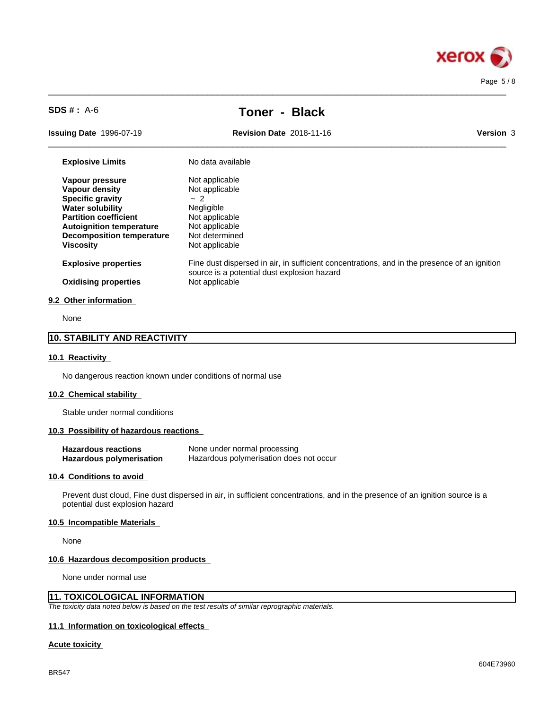

 $\_$  ,  $\_$  ,  $\_$  ,  $\_$  ,  $\_$  ,  $\_$  ,  $\_$  ,  $\_$  ,  $\_$  ,  $\_$  ,  $\_$  ,  $\_$  ,  $\_$  ,  $\_$  ,  $\_$  ,  $\_$  ,  $\_$  ,  $\_$  ,  $\_$  ,  $\_$  ,  $\_$  ,  $\_$  ,  $\_$  ,  $\_$  ,  $\_$  ,  $\_$  ,  $\_$  ,  $\_$  ,  $\_$  ,  $\_$  ,  $\_$  ,  $\_$  ,  $\_$  ,  $\_$  ,  $\_$  ,  $\_$  ,  $\_$  ,

 $\_$  ,  $\_$  ,  $\_$  ,  $\_$  ,  $\_$  ,  $\_$  ,  $\_$  ,  $\_$  ,  $\_$  ,  $\_$  ,  $\_$  ,  $\_$  ,  $\_$  ,  $\_$  ,  $\_$  ,  $\_$  ,  $\_$  ,  $\_$  ,  $\_$  ,  $\_$  ,  $\_$  ,  $\_$  ,  $\_$  ,  $\_$  ,  $\_$  ,  $\_$  ,  $\_$  ,  $\_$  ,  $\_$  ,  $\_$  ,  $\_$  ,  $\_$  ,  $\_$  ,  $\_$  ,  $\_$  ,  $\_$  ,  $\_$  ,

**Issuing Date** 1996-07-19 **Revision Date** 2018-11-16 **Version** 3

| <b>Explosive Limits</b>          | No data available                                                                                                                           |
|----------------------------------|---------------------------------------------------------------------------------------------------------------------------------------------|
| Vapour pressure                  | Not applicable                                                                                                                              |
| Vapour density                   | Not applicable                                                                                                                              |
| <b>Specific gravity</b>          | ~2~                                                                                                                                         |
| <b>Water solubility</b>          | <b>Negligible</b>                                                                                                                           |
| <b>Partition coefficient</b>     | Not applicable                                                                                                                              |
| <b>Autoignition temperature</b>  | Not applicable                                                                                                                              |
| <b>Decomposition temperature</b> | Not determined                                                                                                                              |
| <b>Viscosity</b>                 | Not applicable                                                                                                                              |
| <b>Explosive properties</b>      | Fine dust dispersed in air, in sufficient concentrations, and in the presence of an ignition<br>source is a potential dust explosion hazard |
| <b>Oxidising properties</b>      | Not applicable                                                                                                                              |
| 9.2 Other information            |                                                                                                                                             |
| $\sim$                           |                                                                                                                                             |

None

## **10. STABILITY AND REACTIVITY**

#### **10.1 Reactivity**

No dangerous reaction known under conditions of normal use

#### **10.2 Chemical stability**

Stable under normal conditions

## **10.3 Possibility of hazardous reactions**

| <b>Hazardous reactions</b> | None under normal processing            |
|----------------------------|-----------------------------------------|
| Hazardous polymerisation   | Hazardous polymerisation does not occur |

#### **10.4 Conditions to avoid**

Prevent dust cloud, Fine dust dispersed in air, in sufficient concentrations, and in the presence of an ignition source is a potential dust explosion hazard

### **10.5 Incompatible Materials**

None

#### **10.6 Hazardous decomposition products**

None under normal use

## **11. TOXICOLOGICAL INFORMATION**

*The toxicity data noted below is based on the test results of similar reprographic materials.*

#### **11.1 Information on toxicologicaleffects**

#### **Acute toxicity**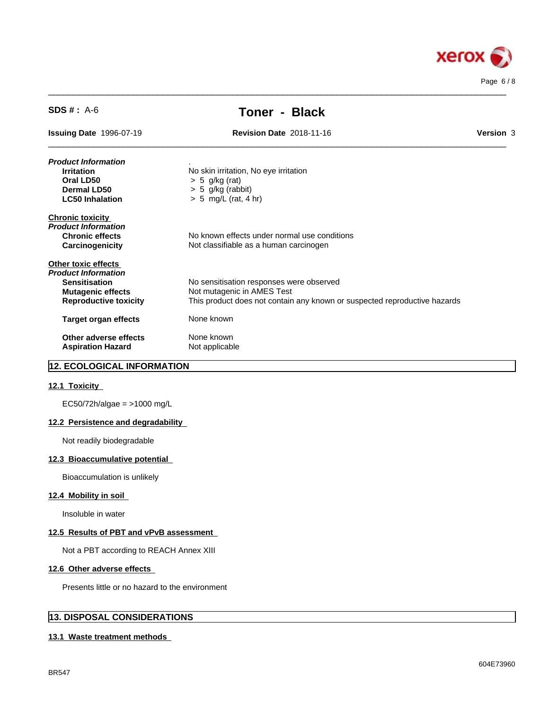

| <b>Toner - Black</b>                                                                                      |           |
|-----------------------------------------------------------------------------------------------------------|-----------|
| <b>Revision Date 2018-11-16</b><br><b>Issuing Date 1996-07-19</b>                                         | Version 3 |
| Product Information                                                                                       |           |
| No skin irritation, No eye irritation<br><b>Irritation</b>                                                |           |
| Oral LD50<br>$> 5$ g/kg (rat)                                                                             |           |
| $> 5$ g/kg (rabbit)<br>Dermal LD50                                                                        |           |
| <b>LC50 Inhalation</b><br>$> 5$ mg/L (rat, 4 hr)                                                          |           |
| <b>Chronic toxicity</b>                                                                                   |           |
| Product Information                                                                                       |           |
| No known effects under normal use conditions<br><b>Chronic effects</b>                                    |           |
| Carcinogenicity<br>Not classifiable as a human carcinogen                                                 |           |
| <b>Other toxic effects</b>                                                                                |           |
| Product Information                                                                                       |           |
| No sensitisation responses were observed<br><b>Sensitisation</b>                                          |           |
| Not mutagenic in AMES Test<br><b>Mutagenic effects</b>                                                    |           |
| This product does not contain any known or suspected reproductive hazards<br><b>Reproductive toxicity</b> |           |
| None known<br><b>Target organ effects</b>                                                                 |           |
| None known<br>Other adverse effects                                                                       |           |
| <b>Aspiration Hazard</b><br>Not applicable                                                                |           |

 $\_$  ,  $\_$  ,  $\_$  ,  $\_$  ,  $\_$  ,  $\_$  ,  $\_$  ,  $\_$  ,  $\_$  ,  $\_$  ,  $\_$  ,  $\_$  ,  $\_$  ,  $\_$  ,  $\_$  ,  $\_$  ,  $\_$  ,  $\_$  ,  $\_$  ,  $\_$  ,  $\_$  ,  $\_$  ,  $\_$  ,  $\_$  ,  $\_$  ,  $\_$  ,  $\_$  ,  $\_$  ,  $\_$  ,  $\_$  ,  $\_$  ,  $\_$  ,  $\_$  ,  $\_$  ,  $\_$  ,  $\_$  ,  $\_$  ,

## **12. ECOLOGICAL INFORMATION**

## **12.1 Toxicity**

EC50/72h/algae = >1000 mg/L

## **12.2 Persistence and degradability**

Not readily biodegradable

## **12.3 Bioaccumulative potential**

Bioaccumulation is unlikely

#### **12.4 Mobility in soil**

Insoluble in water

## **12.5 Results of PBT and vPvB assessment**

Not a PBT according to REACH Annex XIII

#### **12.6 Other adverse effects**

Presents little or no hazard to the environment

## **13. DISPOSAL CONSIDERATIONS**

#### **13.1 Waste treatment methods**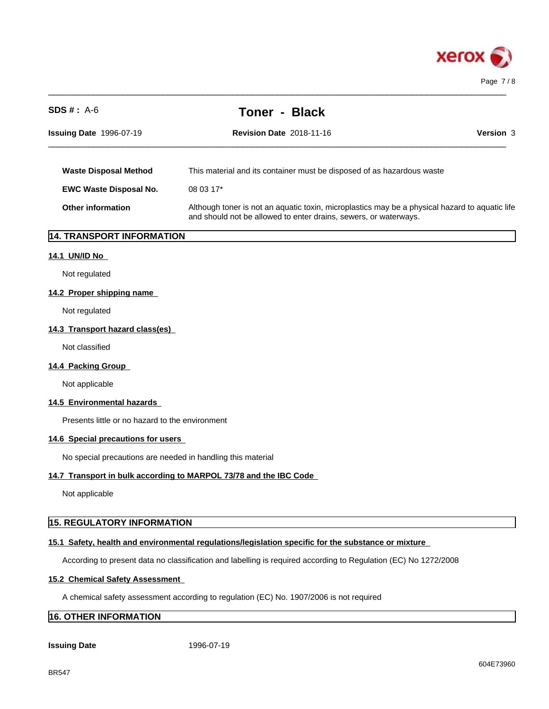

| $SDS #: A-6$                                                | <b>Toner - Black</b>                                                                                                                                               |  |
|-------------------------------------------------------------|--------------------------------------------------------------------------------------------------------------------------------------------------------------------|--|
| <b>Issuing Date 1996-07-19</b>                              | Version 3<br><b>Revision Date 2018-11-16</b>                                                                                                                       |  |
| <b>Waste Disposal Method</b>                                | This material and its container must be disposed of as hazardous waste                                                                                             |  |
| <b>EWC Waste Disposal No.</b>                               | 08 03 17*                                                                                                                                                          |  |
| <b>Other information</b>                                    | Although toner is not an aquatic toxin, microplastics may be a physical hazard to aquatic life<br>and should not be allowed to enter drains, sewers, or waterways. |  |
| 14. TRANSPORT INFORMATION                                   |                                                                                                                                                                    |  |
| 14.1 UN/ID No                                               |                                                                                                                                                                    |  |
| Not regulated                                               |                                                                                                                                                                    |  |
| 14.2 Proper shipping name                                   |                                                                                                                                                                    |  |
| Not regulated                                               |                                                                                                                                                                    |  |
| 14.3 Transport hazard class(es)                             |                                                                                                                                                                    |  |
| Not classified                                              |                                                                                                                                                                    |  |
| 14.4 Packing Group                                          |                                                                                                                                                                    |  |
| Not applicable                                              |                                                                                                                                                                    |  |
| 14.5 Environmental hazards                                  |                                                                                                                                                                    |  |
| Presents little or no hazard to the environment             |                                                                                                                                                                    |  |
| 14.6 Special precautions for users                          |                                                                                                                                                                    |  |
| No special precautions are needed in handling this material |                                                                                                                                                                    |  |
|                                                             | 14.7 Transport in bulk according to MARPOL 73/78 and the IBC Code                                                                                                  |  |
| Not applicable                                              |                                                                                                                                                                    |  |
| <b>15. REGULATORY INFORMATION</b>                           |                                                                                                                                                                    |  |
|                                                             | 15.1 Safety, health and environmental regulations/legislation specific for the substance or mixture                                                                |  |
|                                                             | According to present data no classification and labelling is required according to Regulation (EC) No 1272/2008                                                    |  |
| <b>15.2 Chemical Safety Assessment</b>                      |                                                                                                                                                                    |  |

A chemical safety assessment according to regulation (EC) No. 1907/2006 is not required

# **16. OTHER INFORMATION**

**Issuing Date** 1996-07-19